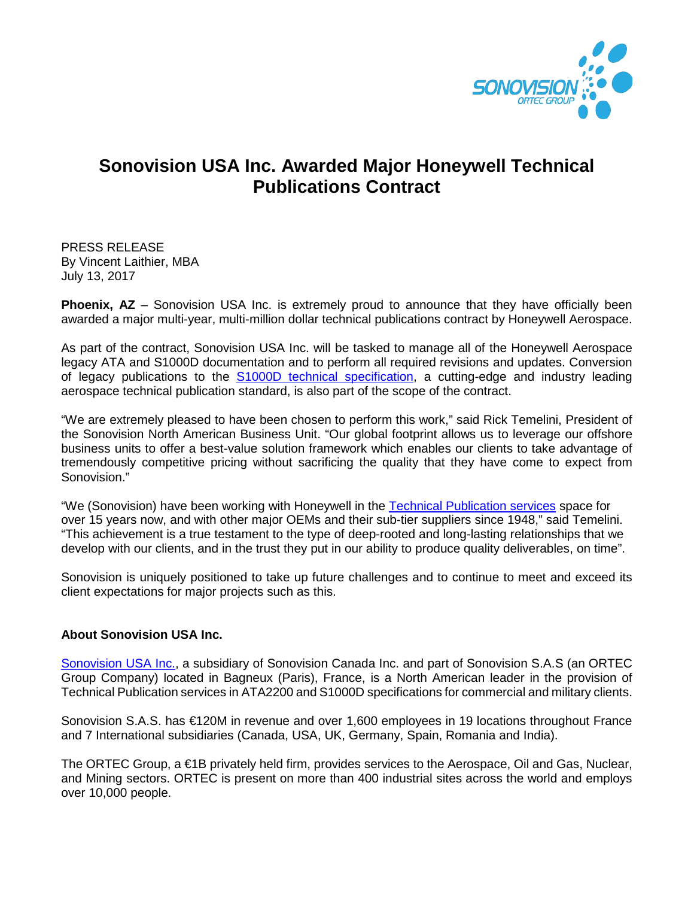

## **Sonovision USA Inc. Awarded Major Honeywell Technical Publications Contract**

PRESS RELEASE By Vincent Laithier, MBA July 13, 2017

**Phoenix, AZ** – Sonovision USA Inc. is extremely proud to announce that they have officially been awarded a major multi-year, multi-million dollar technical publications contract by Honeywell Aerospace.

As part of the contract, Sonovision USA Inc. will be tasked to manage all of the Honeywell Aerospace legacy ATA and S1000D documentation and to perform all required revisions and updates. Conversion of legacy publications to the [S1000D technical specification,](https://www.sonovisionusa.com/s1000d/) a cutting-edge and industry leading aerospace technical publication standard, is also part of the scope of the contract.

"We are extremely pleased to have been chosen to perform this work," said Rick Temelini, President of the Sonovision North American Business Unit. "Our global footprint allows us to leverage our offshore business units to offer a best-value solution framework which enables our clients to take advantage of tremendously competitive pricing without sacrificing the quality that they have come to expect from Sonovision."

"We (Sonovision) have been working with Honeywell in the [Technical Publication](https://www.sonovisionusa.com/) services space for over 15 years now, and with other major OEMs and their sub-tier suppliers since 1948," said Temelini. "This achievement is a true testament to the type of deep-rooted and long-lasting relationships that we develop with our clients, and in the trust they put in our ability to produce quality deliverables, on time".

Sonovision is uniquely positioned to take up future challenges and to continue to meet and exceed its client expectations for major projects such as this.

## **About Sonovision USA Inc.**

[Sonovision USA Inc.,](https://www.sonovisionusa.com/) a subsidiary of Sonovision Canada Inc. and part of Sonovision S.A.S (an ORTEC Group Company) located in Bagneux (Paris), France, is a North American leader in the provision of [Technical Publication services in ATA2200 and S1000D](http://sonovisioncanada.com/technical-documentation-services/) specifications for commercial and military clients.

Sonovision S.A.S. has €120M in revenue and over 1,600 employees in 19 locations throughout France and 7 International subsidiaries (Canada, USA, UK, Germany, Spain, Romania and India).

The ORTEC Group, a €1B privately held firm, provides services to the Aerospace, Oil and Gas, Nuclear, and Mining sectors. ORTEC is present on more than 400 industrial sites across the world and employs over 10,000 people.